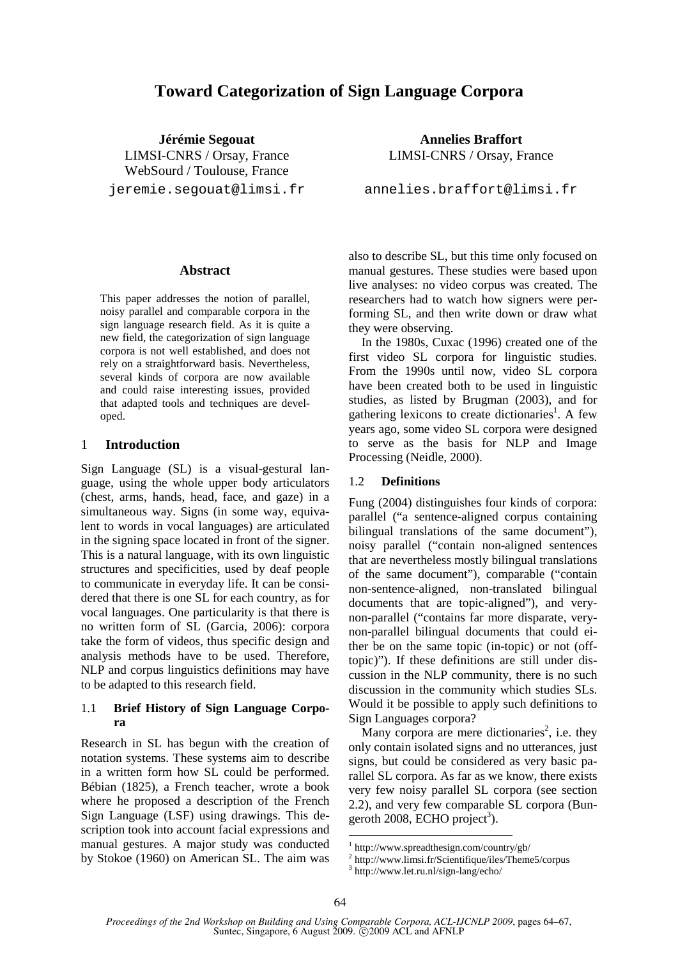# **Toward Categorization of Sign Language Corpora**

**Jérémie Segouat**  LIMSI-CNRS / Orsay, France WebSourd / Toulouse, France jeremie.segouat@limsi.fr

#### **Abstract**

This paper addresses the notion of parallel, noisy parallel and comparable corpora in the sign language research field. As it is quite a new field, the categorization of sign language corpora is not well established, and does not rely on a straightforward basis. Nevertheless, several kinds of corpora are now available and could raise interesting issues, provided that adapted tools and techniques are developed.

#### 1 **Introduction**

Sign Language (SL) is a visual-gestural language, using the whole upper body articulators (chest, arms, hands, head, face, and gaze) in a simultaneous way. Signs (in some way, equivalent to words in vocal languages) are articulated in the signing space located in front of the signer. This is a natural language, with its own linguistic structures and specificities, used by deaf people to communicate in everyday life. It can be considered that there is one SL for each country, as for vocal languages. One particularity is that there is no written form of SL (Garcia, 2006): corpora take the form of videos, thus specific design and analysis methods have to be used. Therefore, NLP and corpus linguistics definitions may have to be adapted to this research field.

#### 1.1 **Brief History of Sign Language Corpora**

Research in SL has begun with the creation of notation systems. These systems aim to describe in a written form how SL could be performed. Bébian (1825), a French teacher, wrote a book where he proposed a description of the French Sign Language (LSF) using drawings. This description took into account facial expressions and manual gestures. A major study was conducted by Stokoe (1960) on American SL. The aim was

**Annelies Braffort**  LIMSI-CNRS / Orsay, France

annelies.braffort@limsi.fr

also to describe SL, but this time only focused on manual gestures. These studies were based upon live analyses: no video corpus was created. The researchers had to watch how signers were performing SL, and then write down or draw what they were observing.

In the 1980s, Cuxac (1996) created one of the first video SL corpora for linguistic studies. From the 1990s until now, video SL corpora have been created both to be used in linguistic studies, as listed by Brugman (2003), and for gathering lexicons to create dictionaries<sup>1</sup>. A few years ago, some video SL corpora were designed to serve as the basis for NLP and Image Processing (Neidle, 2000).

#### 1.2 **Definitions**

Fung (2004) distinguishes four kinds of corpora: parallel ("a sentence-aligned corpus containing bilingual translations of the same document"), noisy parallel ("contain non-aligned sentences that are nevertheless mostly bilingual translations of the same document"), comparable ("contain non-sentence-aligned, non-translated bilingual documents that are topic-aligned"), and verynon-parallel ("contains far more disparate, verynon-parallel bilingual documents that could either be on the same topic (in-topic) or not (offtopic)"). If these definitions are still under discussion in the NLP community, there is no such discussion in the community which studies SLs. Would it be possible to apply such definitions to Sign Languages corpora?

Many corpora are mere dictionaries<sup>2</sup>, i.e. they only contain isolated signs and no utterances, just signs, but could be considered as very basic parallel SL corpora. As far as we know, there exists very few noisy parallel SL corpora (see section 2.2), and very few comparable SL corpora (Bungeroth 2008, ECHO project<sup>3</sup>).

<sup>1</sup> http://www.spreadthesign.com/country/gb/

<sup>2</sup> http://www.limsi.fr/Scientifique/iles/Theme5/corpus

<sup>3</sup> http://www.let.ru.nl/sign-lang/echo/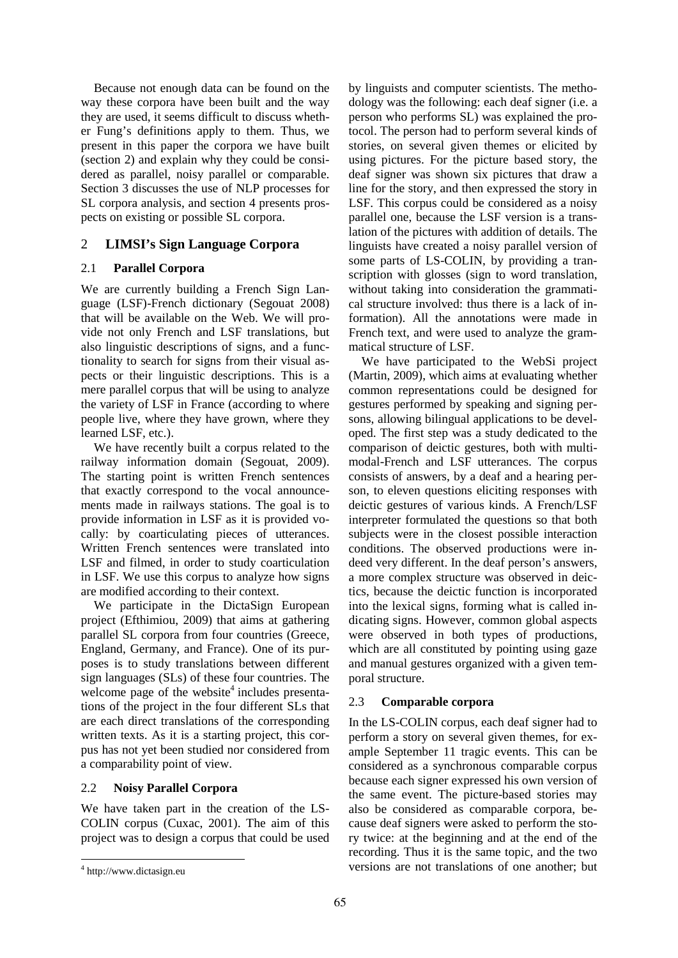Because not enough data can be found on the way these corpora have been built and the way they are used, it seems difficult to discuss whether Fung's definitions apply to them. Thus, we present in this paper the corpora we have built (section 2) and explain why they could be considered as parallel, noisy parallel or comparable. Section 3 discusses the use of NLP processes for SL corpora analysis, and section 4 presents prospects on existing or possible SL corpora.

### 2 **LIMSI's Sign Language Corpora**

### 2.1 **Parallel Corpora**

We are currently building a French Sign Language (LSF)-French dictionary (Segouat 2008) that will be available on the Web. We will provide not only French and LSF translations, but also linguistic descriptions of signs, and a functionality to search for signs from their visual aspects or their linguistic descriptions. This is a mere parallel corpus that will be using to analyze the variety of LSF in France (according to where people live, where they have grown, where they learned LSF, etc.).

We have recently built a corpus related to the railway information domain (Segouat, 2009). The starting point is written French sentences that exactly correspond to the vocal announcements made in railways stations. The goal is to provide information in LSF as it is provided vocally: by coarticulating pieces of utterances. Written French sentences were translated into LSF and filmed, in order to study coarticulation in LSF. We use this corpus to analyze how signs are modified according to their context.

We participate in the DictaSign European project (Efthimiou, 2009) that aims at gathering parallel SL corpora from four countries (Greece, England, Germany, and France). One of its purposes is to study translations between different sign languages (SLs) of these four countries. The welcome page of the website $4$  includes presentations of the project in the four different SLs that are each direct translations of the corresponding written texts. As it is a starting project, this corpus has not yet been studied nor considered from a comparability point of view.

### 2.2 **Noisy Parallel Corpora**

We have taken part in the creation of the LS-COLIN corpus (Cuxac, 2001). The aim of this project was to design a corpus that could be used

by linguists and computer scientists. The methodology was the following: each deaf signer (i.e. a person who performs SL) was explained the protocol. The person had to perform several kinds of stories, on several given themes or elicited by using pictures. For the picture based story, the deaf signer was shown six pictures that draw a line for the story, and then expressed the story in LSF. This corpus could be considered as a noisy parallel one, because the LSF version is a translation of the pictures with addition of details. The linguists have created a noisy parallel version of some parts of LS-COLIN, by providing a transcription with glosses (sign to word translation, without taking into consideration the grammatical structure involved: thus there is a lack of information). All the annotations were made in French text, and were used to analyze the grammatical structure of LSF.

We have participated to the WebSi project (Martin, 2009), which aims at evaluating whether common representations could be designed for gestures performed by speaking and signing persons, allowing bilingual applications to be developed. The first step was a study dedicated to the comparison of deictic gestures, both with multimodal-French and LSF utterances. The corpus consists of answers, by a deaf and a hearing person, to eleven questions eliciting responses with deictic gestures of various kinds. A French/LSF interpreter formulated the questions so that both subjects were in the closest possible interaction conditions. The observed productions were indeed very different. In the deaf person's answers, a more complex structure was observed in deictics, because the deictic function is incorporated into the lexical signs, forming what is called indicating signs. However, common global aspects were observed in both types of productions, which are all constituted by pointing using gaze and manual gestures organized with a given temporal structure.

### 2.3 **Comparable corpora**

In the LS-COLIN corpus, each deaf signer had to perform a story on several given themes, for example September 11 tragic events. This can be considered as a synchronous comparable corpus because each signer expressed his own version of the same event. The picture-based stories may also be considered as comparable corpora, because deaf signers were asked to perform the story twice: at the beginning and at the end of the recording. Thus it is the same topic, and the two versions are not translations of one another; but

<sup>4</sup> http://www.dictasign.eu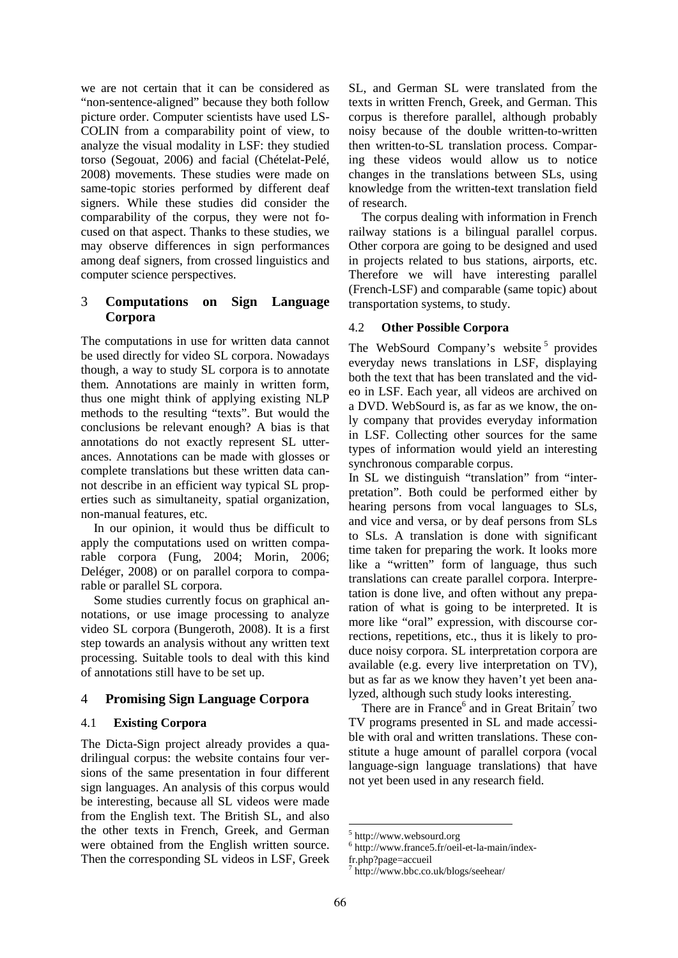we are not certain that it can be considered as "non-sentence-aligned" because they both follow picture order. Computer scientists have used LS-COLIN from a comparability point of view, to analyze the visual modality in LSF: they studied torso (Segouat, 2006) and facial (Chételat-Pelé, 2008) movements. These studies were made on same-topic stories performed by different deaf signers. While these studies did consider the comparability of the corpus, they were not focused on that aspect. Thanks to these studies, we may observe differences in sign performances among deaf signers, from crossed linguistics and computer science perspectives.

## 3 **Computations on Sign Language Corpora**

The computations in use for written data cannot be used directly for video SL corpora. Nowadays though, a way to study SL corpora is to annotate them. Annotations are mainly in written form, thus one might think of applying existing NLP methods to the resulting "texts". But would the conclusions be relevant enough? A bias is that annotations do not exactly represent SL utterances. Annotations can be made with glosses or complete translations but these written data cannot describe in an efficient way typical SL properties such as simultaneity, spatial organization, non-manual features, etc.

In our opinion, it would thus be difficult to apply the computations used on written comparable corpora (Fung, 2004; Morin, 2006; Deléger, 2008) or on parallel corpora to comparable or parallel SL corpora.

Some studies currently focus on graphical annotations, or use image processing to analyze video SL corpora (Bungeroth, 2008). It is a first step towards an analysis without any written text processing. Suitable tools to deal with this kind of annotations still have to be set up.

## 4 **Promising Sign Language Corpora**

## 4.1 **Existing Corpora**

The Dicta-Sign project already provides a quadrilingual corpus: the website contains four versions of the same presentation in four different sign languages. An analysis of this corpus would be interesting, because all SL videos were made from the English text. The British SL, and also the other texts in French, Greek, and German were obtained from the English written source. Then the corresponding SL videos in LSF, Greek

SL, and German SL were translated from the texts in written French, Greek, and German. This corpus is therefore parallel, although probably noisy because of the double written-to-written then written-to-SL translation process. Comparing these videos would allow us to notice changes in the translations between SLs, using knowledge from the written-text translation field of research.

The corpus dealing with information in French railway stations is a bilingual parallel corpus. Other corpora are going to be designed and used in projects related to bus stations, airports, etc. Therefore we will have interesting parallel (French-LSF) and comparable (same topic) about transportation systems, to study.

### 4.2 **Other Possible Corpora**

The WebSourd Company's website<sup>5</sup> provides everyday news translations in LSF, displaying both the text that has been translated and the video in LSF. Each year, all videos are archived on a DVD. WebSourd is, as far as we know, the only company that provides everyday information in LSF. Collecting other sources for the same types of information would yield an interesting synchronous comparable corpus.

In SL we distinguish "translation" from "interpretation". Both could be performed either by hearing persons from vocal languages to SLs, and vice and versa, or by deaf persons from SLs to SLs. A translation is done with significant time taken for preparing the work. It looks more like a "written" form of language, thus such translations can create parallel corpora. Interpretation is done live, and often without any preparation of what is going to be interpreted. It is more like "oral" expression, with discourse corrections, repetitions, etc., thus it is likely to produce noisy corpora. SL interpretation corpora are available (e.g. every live interpretation on TV), but as far as we know they haven't yet been analyzed, although such study looks interesting.

There are in France<sup>6</sup> and in Great Britain<sup>7</sup> two TV programs presented in SL and made accessible with oral and written translations. These constitute a huge amount of parallel corpora (vocal language-sign language translations) that have not yet been used in any research field.

<sup>5</sup> http://www.websourd.org

<sup>6</sup> http://www.france5.fr/oeil-et-la-main/index-

fr.php?page=accueil

<sup>7</sup> http://www.bbc.co.uk/blogs/seehear/